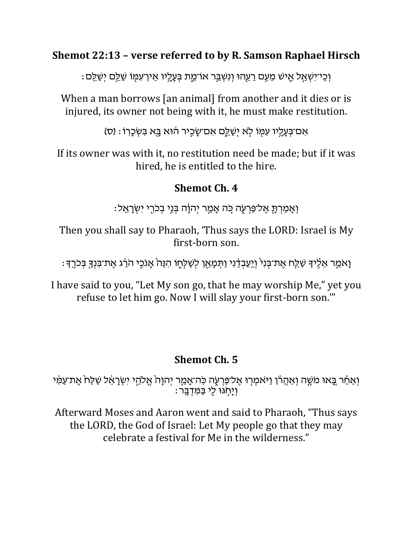### **Shemot 22:13 – verse referred to by R. Samson Raphael Hirsch**

ּ וְכֵי־יִשְׁאֲל אֵישׁ מֵעֵם רֵעֵהוּ וְנִשְׁבֵּ֣ר אוֹ־מֵת בְּעֲלֵיו אֵין־עִמְּוֹ שַׁלֵּ֑ם יִשַּׁלֵֵם

When a man borrows [an animal] from another and it dies or is injured, its owner not being with it, he must make restitution.

ֹאִם־בְּעָלֵיו עִמְּוֹ לְאֹ יְשַׁלֵֵם אִם־שַׂכֵּיר הוֹּא בָּא בְּשְׂכָרְוֹ : (ס)

If its owner was with it, no restitution need be made; but if it was hired, he is entitled to the hire.

## **Shemot Ch. 4**

ּ וְאֲמַרְתָּ אֱל־פַּרְעָׂה כֵּׂה אֲמֵר יְהוֲֹה בְּנֵי בְכֹרֵי יְשְׂרָאֱל:

Then you shall say to Pharaoh, 'Thus says the LORD: Israel is My first-born son.

ַ וָאמֵר אֱלֶיךָ שַׁלֵּח אֶת־בִּנְיֹ וְיֵעֲבְדֶיִי וַתְּמָאֵן לְשַׁלְחָוֹ הִנֵּה אֲנֹכֵי הֹרֵצ אֶת־בִּנְךָּ בְּכֹרֵדְ

I have said to you, "Let My son go, that he may worship Me," yet you refuse to let him go. Now I will slay your first-born son.'"

# **Shemot Ch. 5**

וְאַחַר בָּאוּ משֶׁה וְאַהַרֹן וַיּאמְרָוּ אֶל־פַּרְעֶה כִּה־אָמֵר יְהוָה אֱלֹהֵי יִשְׂרָאֵל שַׁלַּח אֶת־עַמִּי וְיָחְגּוּ לִי בַּמְדְבֵֵּר:

Afterward Moses and Aaron went and said to Pharaoh, "Thus says the LORD, the God of Israel: Let My people go that they may celebrate a festival for Me in the wilderness."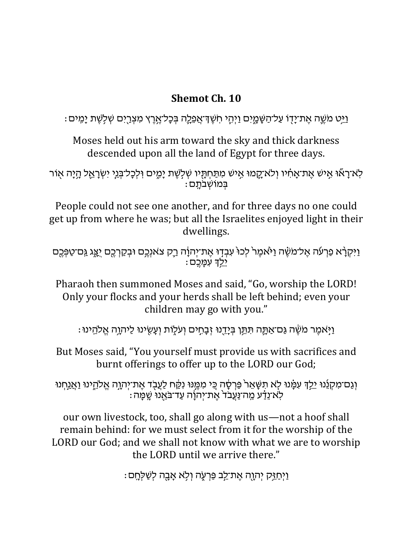### **Shemot Ch. 10**

וַיֵּט מֹשֵׁה אֵת־יָדִו עַל־הַשָּׁמֶיִם וַיִּהְי חְשֵׁדְ־אֲפֵלֵה בִּכָל־אֶרֵץ מִצְרֵיִם שִׁלְשֵׁת יָמֵים :

Moses held out his arm toward the sky and thick darkness descended upon all the land of Egypt for three days.

ּלְא־רָאੌוּ אֵישׁ אֶת־אָחִ֫יו וְלֹא־קֱמוּ אֶישׁ מִתַּחְתֶּיו שְׁלְשֶׁת יָמֶים וִילְכָל־בְּנֵי יִשְׂרָאֱל הָיָה אֻוֹר ּ בְּמוֹשָׁבֹתֵם:

People could not see one another, and for three days no one could get up from where he was; but all the Israelites enjoyed light in their dwellings.

וַיִּקְרָ֫א פַרְעֹה אֶל־משֶׂה וַי<sub>ּ</sub>ֹאמֶר לְכוּ עִבְדָוּ אֶת־יְהוָ֫ה רֵק צאנְכֶם וּבְקַרְכֶם יַצֵּג גַּם־טַפְּכֶם יִלְדְּ עִמֵכֶם

Pharaoh then summoned Moses and said, "Go, worship the LORD! Only your flocks and your herds shall be left behind; even your children may go with you."

וַיִּאמֶר מֹשֶׁה גַּם־אַתֵּה תִּתֵּן בִּיַדֵנוּ זָבַחֵים וְעֹלְוֹת וְעֵשִׂינוּ לַיהוֵה אֱלֹהֵינוּ :

But Moses said, "You yourself must provide us with sacrifices and burnt offerings to offer up to the LORD our God;

וְ נַם־מִקְנֵנוּ יֵלֵךְ עִמָּ֫נוּ לָא תִשָּׁאֵר פַּרְסָ֫ה כֻּי מִמֶּנוּ נִקַּ֫ח לַעֲבָד אֶת־יְהוָה אֱלהֵינוּ וַאֲנַחְנוּ : לְאֹ־נֵדַּע מַַּח־נַּעֲבֹד אֶת־יְהוָ֫ה עַד־בֹּאֻנוּ שֶׁפְּוּה

our own livestock, too, shall go along with us—not a hoof shall remain behind: for we must select from it for the worship of the LORD our God; and we shall not know with what we are to worship the LORD until we arrive there."

וַיִּחַזֵּק יִהְוָה אֱת־לֵב פַּרְעָׂה וְלָא אֲבָה לְשַׁלְחֵם :